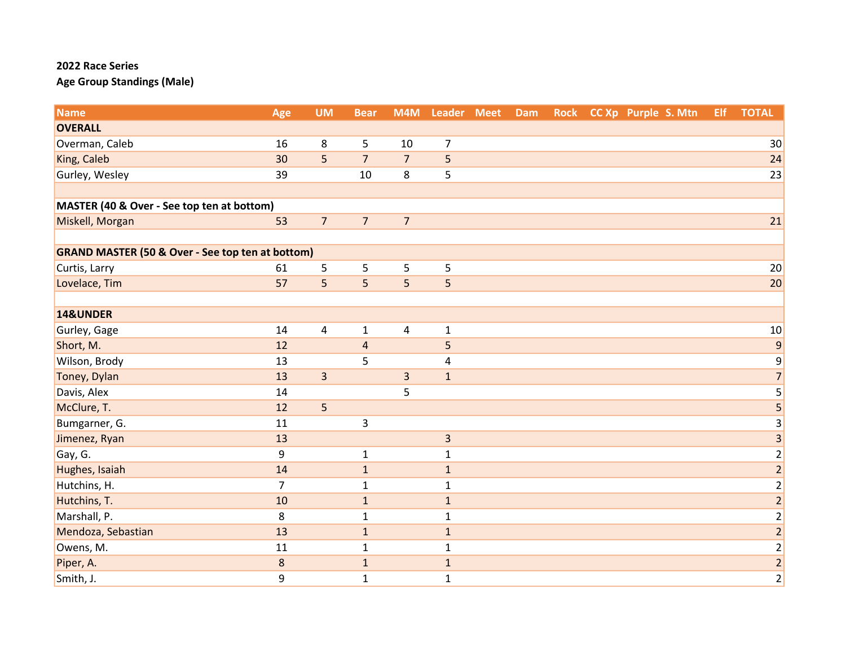| <b>Name</b>                                                 | Age            | <b>UM</b>               | <b>Bear</b>             | M4M                     | Leader Meet    | Dam | <b>Rock</b> | CC Xp Purple S. Mtn | <b>Elf</b> | <b>TOTAL</b>            |
|-------------------------------------------------------------|----------------|-------------------------|-------------------------|-------------------------|----------------|-----|-------------|---------------------|------------|-------------------------|
| <b>OVERALL</b>                                              |                |                         |                         |                         |                |     |             |                     |            |                         |
| Overman, Caleb                                              | 16             | 8                       | 5                       | 10                      | $\overline{7}$ |     |             |                     |            | 30 <sup>°</sup>         |
| King, Caleb                                                 | 30             | 5                       | $\overline{7}$          | $\overline{7}$          | 5              |     |             |                     |            | 24                      |
| Gurley, Wesley                                              | 39             |                         | 10                      | 8                       | 5              |     |             |                     |            | 23                      |
|                                                             |                |                         |                         |                         |                |     |             |                     |            |                         |
| MASTER (40 & Over - See top ten at bottom)                  |                |                         |                         |                         |                |     |             |                     |            |                         |
| Miskell, Morgan                                             | 53             | $\overline{7}$          | $\overline{7}$          | $\overline{7}$          |                |     |             |                     |            | 21                      |
|                                                             |                |                         |                         |                         |                |     |             |                     |            |                         |
| <b>GRAND MASTER (50 &amp; Over - See top ten at bottom)</b> |                |                         |                         |                         |                |     |             |                     |            |                         |
| Curtis, Larry                                               | 61             | 5                       | 5                       | 5                       | 5              |     |             |                     |            | 20                      |
| Lovelace, Tim                                               | 57             | 5                       | 5                       | 5                       | 5              |     |             |                     |            | 20                      |
|                                                             |                |                         |                         |                         |                |     |             |                     |            |                         |
| 14&UNDER                                                    |                |                         |                         |                         |                |     |             |                     |            |                         |
| Gurley, Gage                                                | 14             | $\overline{\mathbf{4}}$ | $\mathbf{1}$            | $\overline{\mathbf{4}}$ | $\mathbf 1$    |     |             |                     |            | 10                      |
| Short, M.                                                   | 12             |                         | $\overline{\mathbf{4}}$ |                         | 5              |     |             |                     |            | $\overline{9}$          |
| Wilson, Brody                                               | 13             |                         | 5                       |                         | 4              |     |             |                     |            | 9                       |
| Toney, Dylan                                                | 13             | $\overline{3}$          |                         | $\overline{\mathbf{3}}$ | $\mathbf 1$    |     |             |                     |            | $\overline{7}$          |
| Davis, Alex                                                 | 14             |                         |                         | 5                       |                |     |             |                     |            | $\overline{\mathbf{5}}$ |
| McClure, T.                                                 | 12             | 5                       |                         |                         |                |     |             |                     |            | $\overline{\mathbf{5}}$ |
| Bumgarner, G.                                               | 11             |                         | 3                       |                         |                |     |             |                     |            | $\frac{3}{3}$           |
| Jimenez, Ryan                                               | 13             |                         |                         |                         | $\overline{3}$ |     |             |                     |            |                         |
| Gay, G.                                                     | 9              |                         | $\mathbf{1}$            |                         | $\mathbf 1$    |     |             |                     |            | $\frac{2}{2}$           |
| Hughes, Isaiah                                              | 14             |                         | $\mathbf 1$             |                         | $\mathbf 1$    |     |             |                     |            |                         |
| Hutchins, H.                                                | $\overline{7}$ |                         | $\mathbf{1}$            |                         | $\mathbf 1$    |     |             |                     |            | $\frac{2}{2}$           |
| Hutchins, T.                                                | 10             |                         | $\mathbf{1}$            |                         | $\mathbf{1}$   |     |             |                     |            |                         |
| Marshall, P.                                                | 8              |                         | $\mathbf{1}$            |                         | $\mathbf 1$    |     |             |                     |            | $\overline{2}$          |
| Mendoza, Sebastian                                          | 13             |                         | $\mathbf 1$             |                         | $\mathbf 1$    |     |             |                     |            | $\frac{2}{2}$           |
| Owens, M.                                                   | 11             |                         | $\mathbf{1}$            |                         | $\mathbf 1$    |     |             |                     |            |                         |
| Piper, A.                                                   | $\bf 8$        |                         | $\mathbf 1$             |                         | $1\,$          |     |             |                     |            | $\frac{2}{2}$           |
| Smith, J.                                                   | 9              |                         | $\mathbf{1}$            |                         | $\mathbf 1$    |     |             |                     |            |                         |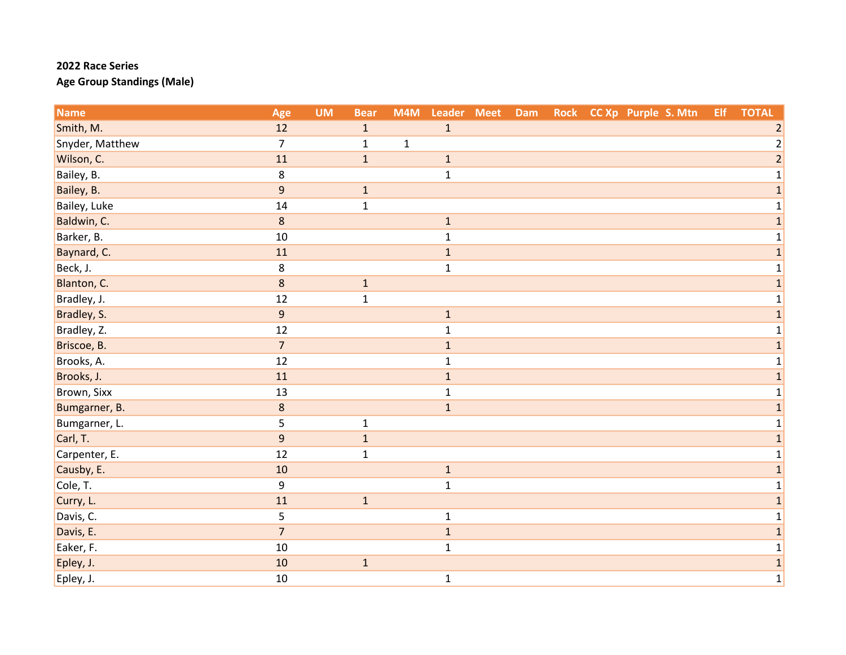| <b>Name</b>     | Age              | <b>UM</b> | <b>Bear</b>  | M4M         | Leader Meet  | Dam |  | Rock CC Xp Purple S. Mtn | Elf | <b>TOTAL</b>   |
|-----------------|------------------|-----------|--------------|-------------|--------------|-----|--|--------------------------|-----|----------------|
| Smith, M.       | 12               |           | $\mathbf{1}$ |             | $\mathbf{1}$ |     |  |                          |     | 2              |
| Snyder, Matthew | $\overline{7}$   |           | $\mathbf 1$  | $\mathbf 1$ |              |     |  |                          |     | $\overline{2}$ |
| Wilson, C.      | 11               |           | $\mathbf{1}$ |             | $1\,$        |     |  |                          |     | $\overline{2}$ |
| Bailey, B.      | 8                |           |              |             | $\mathbf 1$  |     |  |                          |     | $\mathbf{1}$   |
| Bailey, B.      | $\boldsymbol{9}$ |           | $\mathbf 1$  |             |              |     |  |                          |     | $\mathbf 1$    |
| Bailey, Luke    | 14               |           | $\mathbf{1}$ |             |              |     |  |                          |     | $\mathbf{1}$   |
| Baldwin, C.     | $\bf 8$          |           |              |             | $1\,$        |     |  |                          |     | $\mathbf{1}$   |
| Barker, B.      | 10               |           |              |             | $\mathbf 1$  |     |  |                          |     | $1\vert$       |
| Baynard, C.     | 11               |           |              |             | $\mathbf 1$  |     |  |                          |     | $\mathbf{1}$   |
| Beck, J.        | 8                |           |              |             | $1\,$        |     |  |                          |     | $\mathbf{1}$   |
| Blanton, C.     | $\bf 8$          |           | $\mathbf 1$  |             |              |     |  |                          |     | $\mathbf 1$    |
| Bradley, J.     | 12               |           | $\mathbf{1}$ |             |              |     |  |                          |     | $\mathbf{1}$   |
| Bradley, S.     | $\overline{9}$   |           |              |             | $1\,$        |     |  |                          |     | $\mathbf 1$    |
| Bradley, Z.     | 12               |           |              |             | $\mathbf 1$  |     |  |                          |     | $\mathbf{1}$   |
| Briscoe, B.     | $\overline{7}$   |           |              |             | $\mathbf 1$  |     |  |                          |     | $\mathbf{1}$   |
| Brooks, A.      | 12               |           |              |             | $\mathbf 1$  |     |  |                          |     | $\mathbf{1}$   |
| Brooks, J.      | 11               |           |              |             | $\mathbf 1$  |     |  |                          |     | $\mathbf{1}$   |
| Brown, Sixx     | 13               |           |              |             | $\mathbf{1}$ |     |  |                          |     | $\mathbf 1$    |
| Bumgarner, B.   | $\bf 8$          |           |              |             | $\mathbf 1$  |     |  |                          |     | $\overline{1}$ |
| Bumgarner, L.   | 5                |           | $\mathbf{1}$ |             |              |     |  |                          |     | $1\vert$       |
| Carl, T.        | $\overline{9}$   |           | $\mathbf 1$  |             |              |     |  |                          |     | $\mathbf{1}$   |
| Carpenter, E.   | 12               |           | $\mathbf{1}$ |             |              |     |  |                          |     | $\mathbf{1}$   |
| Causby, E.      | 10               |           |              |             | $\mathbf 1$  |     |  |                          |     | $\mathbf 1$    |
| Cole, T.        | 9                |           |              |             | $\mathbf 1$  |     |  |                          |     | $\mathbf{1}$   |
| Curry, L.       | 11               |           | $\mathbf{1}$ |             |              |     |  |                          |     | $\mathbf{1}$   |
| Davis, C.       | 5                |           |              |             | $\mathbf 1$  |     |  |                          |     | $\mathbf{1}$   |
| Davis, E.       | $\overline{7}$   |           |              |             | $\mathbf 1$  |     |  |                          |     | $\mathbf{1}$   |
| Eaker, F.       | 10               |           |              |             | $\mathbf{1}$ |     |  |                          |     | $\mathbf{1}$   |
| Epley, J.       | 10               |           | $\mathbf 1$  |             |              |     |  |                          |     | $\mathbf 1$    |
| Epley, J.       | 10               |           |              |             | $\mathbf 1$  |     |  |                          |     | $1\vert$       |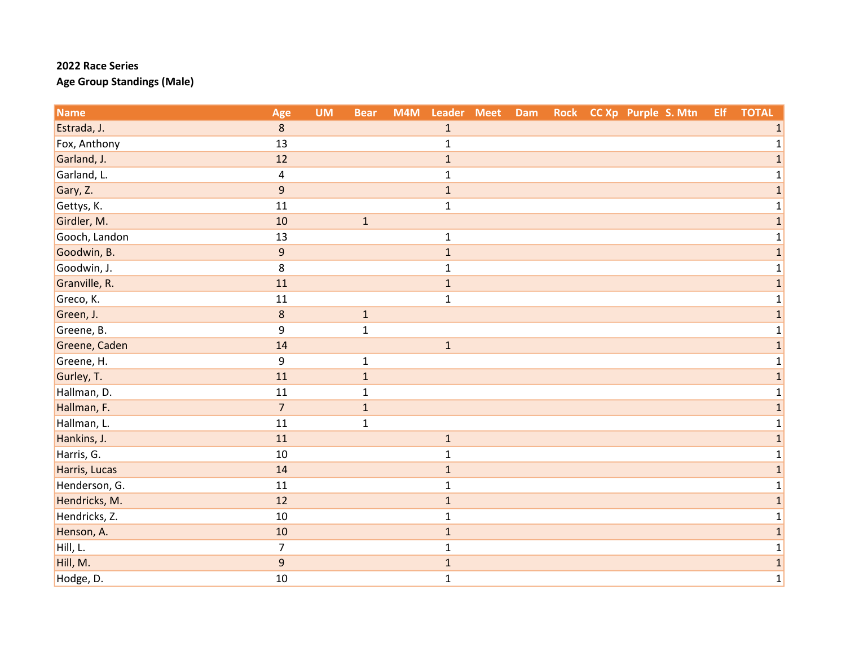| <b>Name</b>   | Age              | <b>UM</b> | <b>Bear</b>  | M4M | Leader Meet  | <b>Dam</b> |  | Rock CC Xp Purple S. Mtn | Elf | <b>TOTAL</b> |
|---------------|------------------|-----------|--------------|-----|--------------|------------|--|--------------------------|-----|--------------|
| Estrada, J.   | 8                |           |              |     | $\mathbf{1}$ |            |  |                          |     |              |
| Fox, Anthony  | 13               |           |              |     | $\mathbf{1}$ |            |  |                          |     | $\mathbf{1}$ |
| Garland, J.   | 12               |           |              |     | $\mathbf 1$  |            |  |                          |     | 1            |
| Garland, L.   | 4                |           |              |     | $\mathbf{1}$ |            |  |                          |     | $\mathbf{1}$ |
| Gary, Z.      | $\boldsymbol{9}$ |           |              |     | $\mathbf 1$  |            |  |                          |     | 1            |
| Gettys, K.    | 11               |           |              |     | $\mathbf{1}$ |            |  |                          |     | $\mathbf 1$  |
| Girdler, M.   | 10               |           | $\mathbf 1$  |     |              |            |  |                          |     | $\mathbf{1}$ |
| Gooch, Landon | 13               |           |              |     | $\mathbf{1}$ |            |  |                          |     | $\mathbf{1}$ |
| Goodwin, B.   | 9                |           |              |     | $\mathbf 1$  |            |  |                          |     | $\mathbf{1}$ |
| Goodwin, J.   | 8                |           |              |     | $\mathbf{1}$ |            |  |                          |     | 1            |
| Granville, R. | 11               |           |              |     | $\mathbf{1}$ |            |  |                          |     | $\mathbf{1}$ |
| Greco, K.     | 11               |           |              |     | $\mathbf 1$  |            |  |                          |     | 1            |
| Green, J.     | $\,8\,$          |           | $\mathbf{1}$ |     |              |            |  |                          |     | $\mathbf{1}$ |
| Greene, B.    | 9                |           | $\mathbf{1}$ |     |              |            |  |                          |     | $\mathbf{1}$ |
| Greene, Caden | 14               |           |              |     | $\mathbf{1}$ |            |  |                          |     | $\mathbf{1}$ |
| Greene, H.    | 9                |           | $\mathbf{1}$ |     |              |            |  |                          |     | $\mathbf 1$  |
| Gurley, T.    | 11               |           | $\mathbf{1}$ |     |              |            |  |                          |     | $\mathbf{1}$ |
| Hallman, D.   | 11               |           | $\mathbf{1}$ |     |              |            |  |                          |     | 1            |
| Hallman, F.   | $\overline{7}$   |           | $\mathbf{1}$ |     |              |            |  |                          |     | $\mathbf{1}$ |
| Hallman, L.   | 11               |           | $\mathbf{1}$ |     |              |            |  |                          |     | $\mathbf{1}$ |
| Hankins, J.   | 11               |           |              |     | $\mathbf{1}$ |            |  |                          |     | $\mathbf{1}$ |
| Harris, G.    | 10               |           |              |     | $\mathbf{1}$ |            |  |                          |     | 1            |
| Harris, Lucas | 14               |           |              |     | $\mathbf 1$  |            |  |                          |     | $\mathbf{1}$ |
| Henderson, G. | 11               |           |              |     | $\mathbf{1}$ |            |  |                          |     | 1            |
| Hendricks, M. | 12               |           |              |     | $\mathbf{1}$ |            |  |                          |     | $\mathbf{1}$ |
| Hendricks, Z. | 10               |           |              |     | $\mathbf 1$  |            |  |                          |     | $\mathbf{1}$ |
| Henson, A.    | 10               |           |              |     | $\mathbf 1$  |            |  |                          |     | $\mathbf{1}$ |
| Hill, L.      | $\overline{7}$   |           |              |     | $\mathbf{1}$ |            |  |                          |     | $\mathbf{1}$ |
| Hill, M.      | 9                |           |              |     | $\mathbf 1$  |            |  |                          |     | $\mathbf 1$  |
| Hodge, D.     | 10               |           |              |     | $\mathbf{1}$ |            |  |                          |     | $1\vert$     |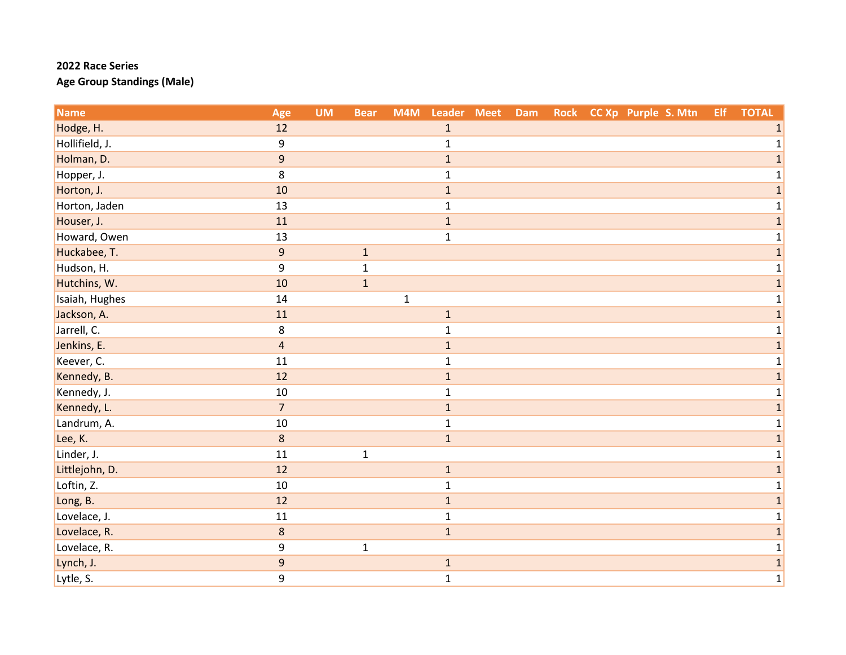| <b>Name</b>    | Age                     | <b>UM</b> | <b>Bear</b>  | M4M         | Leader Meet  | <b>Dam</b> | <b>Rock</b> | CC Xp Purple S. Mtn | Elf | <b>TOTAL</b>   |
|----------------|-------------------------|-----------|--------------|-------------|--------------|------------|-------------|---------------------|-----|----------------|
| Hodge, H.      | 12                      |           |              |             | $\mathbf{1}$ |            |             |                     |     |                |
| Hollifield, J. | 9                       |           |              |             | $\mathbf{1}$ |            |             |                     |     | 1              |
| Holman, D.     | 9                       |           |              |             | $\mathbf 1$  |            |             |                     |     | 1              |
| Hopper, J.     | 8                       |           |              |             | $\mathbf{1}$ |            |             |                     |     | $\mathbf 1$    |
| Horton, J.     | 10                      |           |              |             | $\mathbf 1$  |            |             |                     |     | 1              |
| Horton, Jaden  | 13                      |           |              |             | $\mathbf{1}$ |            |             |                     |     | $\mathbf 1$    |
| Houser, J.     | 11                      |           |              |             | $\mathbf{1}$ |            |             |                     |     | $\mathbf{1}$   |
| Howard, Owen   | 13                      |           |              |             | $\mathbf{1}$ |            |             |                     |     | $\mathbf{1}$   |
| Huckabee, T.   | $\overline{9}$          |           | $\mathbf 1$  |             |              |            |             |                     |     | $\overline{1}$ |
| Hudson, H.     | 9                       |           | $\mathbf{1}$ |             |              |            |             |                     |     | 1              |
| Hutchins, W.   | 10                      |           | $\mathbf{1}$ |             |              |            |             |                     |     | $\mathbf{1}$   |
| Isaiah, Hughes | 14                      |           |              | $\mathbf 1$ |              |            |             |                     |     | $\mathbf{1}$   |
| Jackson, A.    | 11                      |           |              |             | $\mathbf 1$  |            |             |                     |     | $\mathbf{1}$   |
| Jarrell, C.    | 8                       |           |              |             | $\mathbf{1}$ |            |             |                     |     | $\mathbf{1}$   |
| Jenkins, E.    | $\overline{\mathbf{4}}$ |           |              |             | $\mathbf 1$  |            |             |                     |     | $\mathbf{1}$   |
| Keever, C.     | 11                      |           |              |             | $\mathbf{1}$ |            |             |                     |     | $\mathbf 1$    |
| Kennedy, B.    | 12                      |           |              |             | $\mathbf 1$  |            |             |                     |     | $\mathbf{1}$   |
| Kennedy, J.    | 10                      |           |              |             | $\mathbf{1}$ |            |             |                     |     | $\mathbf{1}$   |
| Kennedy, L.    | $\overline{7}$          |           |              |             | $\mathbf{1}$ |            |             |                     |     | $\mathbf{1}$   |
| Landrum, A.    | 10                      |           |              |             | $\mathbf{1}$ |            |             |                     |     | $\mathbf{1}$   |
| Lee, K.        | 8                       |           |              |             | $\mathbf{1}$ |            |             |                     |     | $\mathbf{1}$   |
| Linder, J.     | $11\,$                  |           | $\mathbf{1}$ |             |              |            |             |                     |     | 1              |
| Littlejohn, D. | 12                      |           |              |             | $\mathbf 1$  |            |             |                     |     | $\mathbf{1}$   |
| Loftin, Z.     | $10\,$                  |           |              |             | $\mathbf 1$  |            |             |                     |     | $\mathbf{1}$   |
| Long, B.       | 12                      |           |              |             | $\mathbf 1$  |            |             |                     |     | $\mathbf{1}$   |
| Lovelace, J.   | 11                      |           |              |             | $\mathbf{1}$ |            |             |                     |     | $\mathbf{1}$   |
| Lovelace, R.   | $\bf 8$                 |           |              |             | $\mathbf 1$  |            |             |                     |     | $\mathbf{1}$   |
| Lovelace, R.   | 9                       |           | $\mathbf{1}$ |             |              |            |             |                     |     | $\mathbf{1}$   |
| Lynch, J.      | 9                       |           |              |             | $\mathbf 1$  |            |             |                     |     | $\mathbf{1}$   |
| Lytle, S.      | 9                       |           |              |             | $\mathbf 1$  |            |             |                     |     | 1              |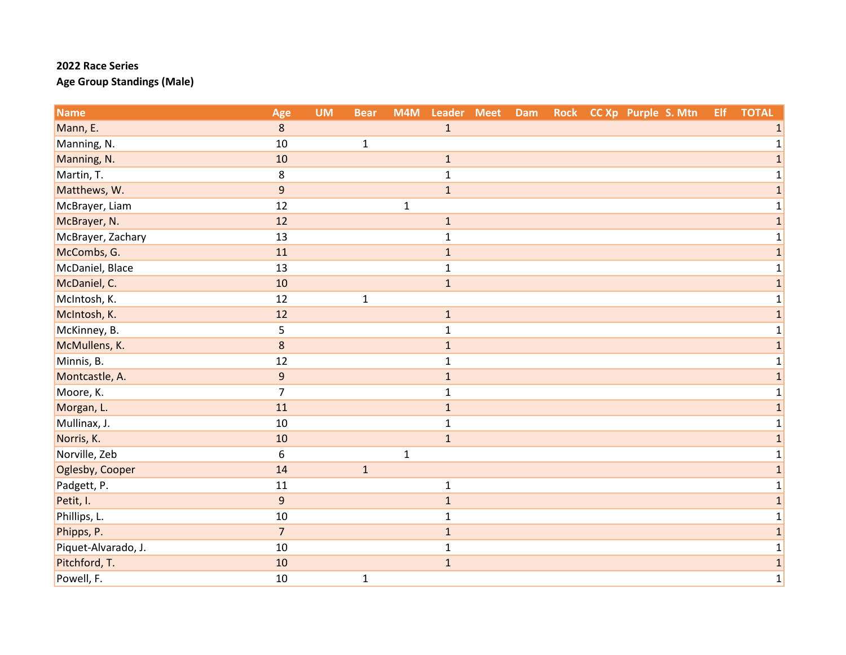| <b>Name</b>         | Age              | <b>UM</b> | <b>Bear</b>  | M4M          | Leader Meet  | Dam |  | Rock CC Xp Purple S. Mtn | Elf | <b>TOTAL</b> |
|---------------------|------------------|-----------|--------------|--------------|--------------|-----|--|--------------------------|-----|--------------|
| Mann, E.            | 8                |           |              |              | $\mathbf{1}$ |     |  |                          |     |              |
| Manning, N.         | 10               |           | $\mathbf{1}$ |              |              |     |  |                          |     |              |
| Manning, N.         | 10               |           |              |              | $\mathbf 1$  |     |  |                          |     | 1            |
| Martin, T.          | 8                |           |              |              | $\mathbf{1}$ |     |  |                          |     |              |
| Matthews, W.        | $\boldsymbol{9}$ |           |              |              | $\mathbf 1$  |     |  |                          |     |              |
| McBrayer, Liam      | 12               |           |              | $\mathbf 1$  |              |     |  |                          |     | 1            |
| McBrayer, N.        | 12               |           |              |              | $\mathbf 1$  |     |  |                          |     | 1            |
| McBrayer, Zachary   | 13               |           |              |              | $\mathbf{1}$ |     |  |                          |     | 1            |
| McCombs, G.         | 11               |           |              |              | $\mathbf{1}$ |     |  |                          |     |              |
| McDaniel, Blace     | 13               |           |              |              | $\mathbf{1}$ |     |  |                          |     | 1            |
| McDaniel, C.        | 10               |           |              |              | $\mathbf 1$  |     |  |                          |     | $\mathbf{1}$ |
| McIntosh, K.        | 12               |           | $\mathbf{1}$ |              |              |     |  |                          |     |              |
| McIntosh, K.        | 12               |           |              |              | $\mathbf 1$  |     |  |                          |     | 1            |
| McKinney, B.        | 5                |           |              |              | $\mathbf{1}$ |     |  |                          |     |              |
| McMullens, K.       | 8                |           |              |              | $\mathbf{1}$ |     |  |                          |     | 1            |
| Minnis, B.          | 12               |           |              |              | $\mathbf{1}$ |     |  |                          |     | 1            |
| Montcastle, A.      | $\boldsymbol{9}$ |           |              |              | $\mathbf 1$  |     |  |                          |     | 1            |
| Moore, K.           | $\overline{7}$   |           |              |              | $\mathbf{1}$ |     |  |                          |     |              |
| Morgan, L.          | 11               |           |              |              | $\mathbf 1$  |     |  |                          |     |              |
| Mullinax, J.        | 10               |           |              |              | $\mathbf{1}$ |     |  |                          |     | 1            |
| Norris, K.          | 10               |           |              |              | $\mathbf 1$  |     |  |                          |     | 1            |
| Norville, Zeb       | 6                |           |              | $\mathbf{1}$ |              |     |  |                          |     | 1            |
| Oglesby, Cooper     | 14               |           | $\mathbf{1}$ |              |              |     |  |                          |     |              |
| Padgett, P.         | 11               |           |              |              | $\mathbf{1}$ |     |  |                          |     |              |
| Petit, I.           | $\overline{9}$   |           |              |              | $\mathbf 1$  |     |  |                          |     | $\mathbf{1}$ |
| Phillips, L.        | 10               |           |              |              | $\mathbf{1}$ |     |  |                          |     | 1            |
| Phipps, P.          | $\overline{7}$   |           |              |              | $\mathbf 1$  |     |  |                          |     | 1            |
| Piquet-Alvarado, J. | 10               |           |              |              | $\mathbf{1}$ |     |  |                          |     | $\mathbf{1}$ |
| Pitchford, T.       | 10               |           |              |              | $\mathbf 1$  |     |  |                          |     | 1            |
| Powell, F.          | 10               |           | $\mathbf{1}$ |              |              |     |  |                          |     | $\mathbf 1$  |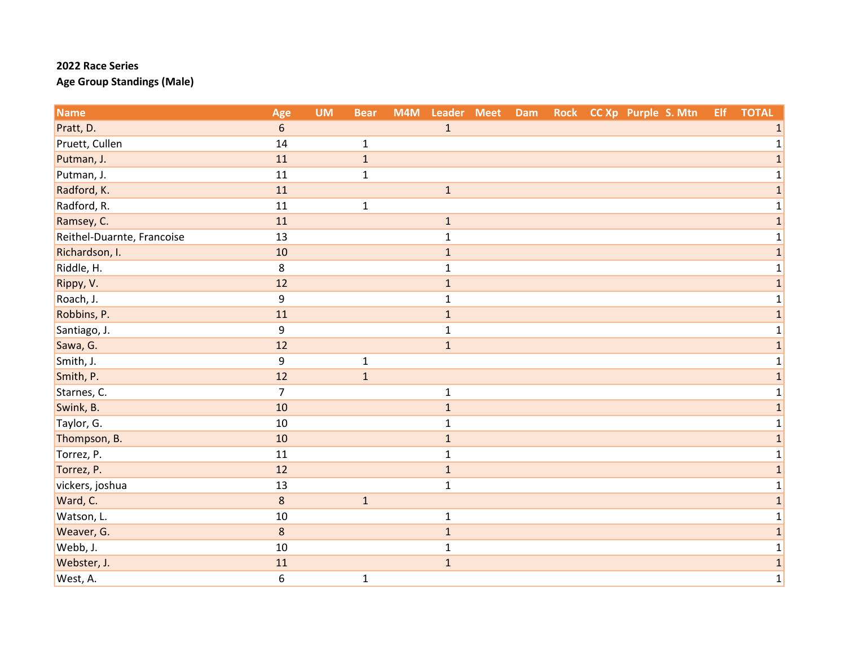| <b>Name</b>                | Age            | <b>UM</b> | <b>Bear</b>  | M4M | Leader Meet  | Dam | <b>Rock</b> | CC Xp Purple S. Mtn | Elf | <b>TOTAL</b> |
|----------------------------|----------------|-----------|--------------|-----|--------------|-----|-------------|---------------------|-----|--------------|
| Pratt, D.                  | 6              |           |              |     | $\mathbf{1}$ |     |             |                     |     |              |
| Pruett, Cullen             | 14             |           | $\mathbf{1}$ |     |              |     |             |                     |     | 1            |
| Putman, J.                 | 11             |           | $\mathbf 1$  |     |              |     |             |                     |     | $\mathbf{1}$ |
| Putman, J.                 | 11             |           | $\mathbf{1}$ |     |              |     |             |                     |     | $\mathbf 1$  |
| Radford, K.                | 11             |           |              |     | $\mathbf 1$  |     |             |                     |     | 1            |
| Radford, R.                | 11             |           | $\mathbf{1}$ |     |              |     |             |                     |     | $\mathbf{1}$ |
| Ramsey, C.                 | 11             |           |              |     | $\mathbf 1$  |     |             |                     |     | $\mathbf{1}$ |
| Reithel-Duarnte, Francoise | 13             |           |              |     | $\mathbf 1$  |     |             |                     |     | $1\vert$     |
| Richardson, I.             | 10             |           |              |     | $\mathbf{1}$ |     |             |                     |     | $\mathbf{1}$ |
| Riddle, H.                 | 8              |           |              |     | $\mathbf{1}$ |     |             |                     |     | 1            |
| Rippy, V.                  | 12             |           |              |     | $\mathbf 1$  |     |             |                     |     | $\mathbf{1}$ |
| Roach, J.                  | 9              |           |              |     | $\mathbf{1}$ |     |             |                     |     | $\mathbf{1}$ |
| Robbins, P.                | 11             |           |              |     | $\mathbf 1$  |     |             |                     |     | $\mathbf{1}$ |
| Santiago, J.               | 9              |           |              |     | $\mathbf{1}$ |     |             |                     |     | $\mathbf{1}$ |
| Sawa, G.                   | 12             |           |              |     | $\mathbf{1}$ |     |             |                     |     | $\mathbf{1}$ |
| Smith, J.                  | 9              |           | $\mathbf{1}$ |     |              |     |             |                     |     | $\mathbf 1$  |
| Smith, P.                  | 12             |           | $\mathbf 1$  |     |              |     |             |                     |     | $\mathbf{1}$ |
| Starnes, C.                | $\overline{7}$ |           |              |     | $\mathbf 1$  |     |             |                     |     | $\mathbf{1}$ |
| Swink, B.                  | 10             |           |              |     | $\mathbf 1$  |     |             |                     |     | $\mathbf{1}$ |
| Taylor, G.                 | $10\,$         |           |              |     | $\mathbf{1}$ |     |             |                     |     | $1\vert$     |
| Thompson, B.               | 10             |           |              |     | $\mathbf 1$  |     |             |                     |     | $\mathbf 1$  |
| Torrez, P.                 | 11             |           |              |     | $\mathbf{1}$ |     |             |                     |     | 1            |
| Torrez, P.                 | 12             |           |              |     | $\mathbf 1$  |     |             |                     |     | $\mathbf{1}$ |
| vickers, joshua            | 13             |           |              |     | $\mathbf 1$  |     |             |                     |     | $\mathbf{1}$ |
| Ward, C.                   | $\,8\,$        |           | $\mathbf{1}$ |     |              |     |             |                     |     | $\mathbf{1}$ |
| Watson, L.                 | 10             |           |              |     | $\mathbf{1}$ |     |             |                     |     | $\mathbf{1}$ |
| Weaver, G.                 | $\,8\,$        |           |              |     | $\mathbf{1}$ |     |             |                     |     | $\mathbf{1}$ |
| Webb, J.                   | 10             |           |              |     | $\mathbf{1}$ |     |             |                     |     | $\mathbf 1$  |
| Webster, J.                | 11             |           |              |     | $\mathbf 1$  |     |             |                     |     | $\mathbf{1}$ |
| West, A.                   | 6              |           | $\mathbf{1}$ |     |              |     |             |                     |     | 1            |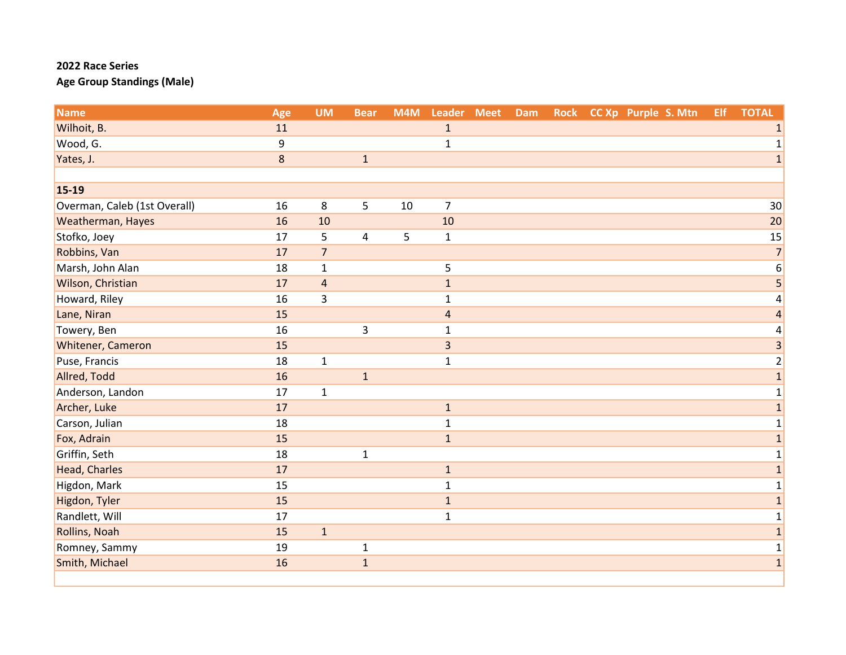| <b>Name</b>                  | Age | <b>UM</b>      | <b>Bear</b>  | M4M | Leader Meet    | Dam | <b>Rock</b> | CC Xp Purple S. Mtn | Elf. | <b>TOTAL</b>    |
|------------------------------|-----|----------------|--------------|-----|----------------|-----|-------------|---------------------|------|-----------------|
| Wilhoit, B.                  | 11  |                |              |     | $\mathbf 1$    |     |             |                     |      | 1               |
| Wood, G.                     | 9   |                |              |     | $\mathbf{1}$   |     |             |                     |      | 1               |
| Yates, J.                    | 8   |                | $\mathbf{1}$ |     |                |     |             |                     |      | $\mathbf{1}$    |
|                              |     |                |              |     |                |     |             |                     |      |                 |
| $15 - 19$                    |     |                |              |     |                |     |             |                     |      |                 |
| Overman, Caleb (1st Overall) | 16  | 8              | 5            | 10  | $\overline{7}$ |     |             |                     |      | 30 <sup>°</sup> |
| Weatherman, Hayes            | 16  | 10             |              |     | 10             |     |             |                     |      | 20              |
| Stofko, Joey                 | 17  | 5              | 4            | 5   | $\mathbf 1$    |     |             |                     |      | 15              |
| Robbins, Van                 | 17  | $\overline{7}$ |              |     |                |     |             |                     |      | $\overline{7}$  |
| Marsh, John Alan             | 18  | $\mathbf 1$    |              |     | 5              |     |             |                     |      | 6               |
| Wilson, Christian            | 17  | $\overline{4}$ |              |     | $\mathbf{1}$   |     |             |                     |      | 5               |
| Howard, Riley                | 16  | 3              |              |     | $\mathbf{1}$   |     |             |                     |      | 4               |
| Lane, Niran                  | 15  |                |              |     | $\overline{4}$ |     |             |                     |      | 4               |
| Towery, Ben                  | 16  |                | 3            |     | $\mathbf{1}$   |     |             |                     |      | 4               |
| Whitener, Cameron            | 15  |                |              |     | $\overline{3}$ |     |             |                     |      | 3               |
| Puse, Francis                | 18  | $\mathbf{1}$   |              |     | $\mathbf 1$    |     |             |                     |      | $\overline{2}$  |
| Allred, Todd                 | 16  |                | $\mathbf{1}$ |     |                |     |             |                     |      | $\mathbf 1$     |
| Anderson, Landon             | 17  | $\mathbf{1}$   |              |     |                |     |             |                     |      | 1               |
| Archer, Luke                 | 17  |                |              |     | $\mathbf{1}$   |     |             |                     |      | $\mathbf{1}$    |
| Carson, Julian               | 18  |                |              |     | $\mathbf{1}$   |     |             |                     |      | $\mathbf 1$     |
| Fox, Adrain                  | 15  |                |              |     | $\mathbf{1}$   |     |             |                     |      | $\mathbf{1}$    |
| Griffin, Seth                | 18  |                | $\mathbf{1}$ |     |                |     |             |                     |      | 1               |
| <b>Head, Charles</b>         | 17  |                |              |     | $\mathbf 1$    |     |             |                     |      | $\mathbf{1}$    |
| Higdon, Mark                 | 15  |                |              |     | $\mathbf{1}$   |     |             |                     |      | $\mathbf{1}$    |
| Higdon, Tyler                | 15  |                |              |     | $\,1\,$        |     |             |                     |      | $\mathbf 1$     |
| Randlett, Will               | 17  |                |              |     | $\mathbf{1}$   |     |             |                     |      | 1               |
| Rollins, Noah                | 15  | $\mathbf{1}$   |              |     |                |     |             |                     |      | $\mathbf{1}$    |
| Romney, Sammy                | 19  |                | $\mathbf{1}$ |     |                |     |             |                     |      | 1               |
| Smith, Michael               | 16  |                | $\mathbf{1}$ |     |                |     |             |                     |      | $\mathbf 1$     |
|                              |     |                |              |     |                |     |             |                     |      |                 |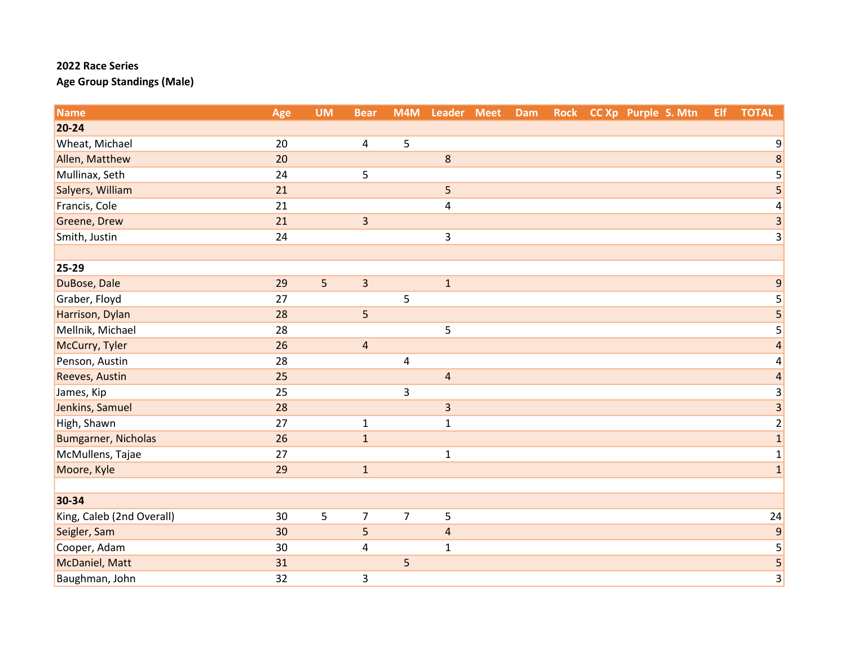| <b>Name</b>                | Age | <b>UM</b> | <b>Bear</b>             | M4M            | Leader Meet             | Dam | <b>Rock</b> | CC Xp Purple S. Mtn | Elf | <b>TOTAL</b>            |
|----------------------------|-----|-----------|-------------------------|----------------|-------------------------|-----|-------------|---------------------|-----|-------------------------|
| $20 - 24$                  |     |           |                         |                |                         |     |             |                     |     |                         |
| Wheat, Michael             | 20  |           | 4                       | 5              |                         |     |             |                     |     | 9                       |
| Allen, Matthew             | 20  |           |                         |                | $\,$ 8 $\,$             |     |             |                     |     | $\bf 8$                 |
| Mullinax, Seth             | 24  |           | 5                       |                |                         |     |             |                     |     | 5                       |
| Salyers, William           | 21  |           |                         |                | 5                       |     |             |                     |     | 5                       |
| Francis, Cole              | 21  |           |                         |                | 4                       |     |             |                     |     | $\pmb{4}$               |
| Greene, Drew               | 21  |           | $\overline{\mathbf{3}}$ |                |                         |     |             |                     |     | $\overline{3}$          |
| Smith, Justin              | 24  |           |                         |                | 3                       |     |             |                     |     | 3                       |
|                            |     |           |                         |                |                         |     |             |                     |     |                         |
| 25-29                      |     |           |                         |                |                         |     |             |                     |     |                         |
| DuBose, Dale               | 29  | 5         | $\overline{\mathbf{3}}$ |                | $1\,$                   |     |             |                     |     | 9                       |
| Graber, Floyd              | 27  |           |                         | 5              |                         |     |             |                     |     | 5                       |
| Harrison, Dylan            | 28  |           | 5                       |                |                         |     |             |                     |     | $\overline{\mathbf{5}}$ |
| Mellnik, Michael           | 28  |           |                         |                | 5                       |     |             |                     |     | 5                       |
| McCurry, Tyler             | 26  |           | $\overline{4}$          |                |                         |     |             |                     |     | $\overline{a}$          |
| Penson, Austin             | 28  |           |                         | 4              |                         |     |             |                     |     | $\pmb{4}$               |
| Reeves, Austin             | 25  |           |                         |                | $\overline{a}$          |     |             |                     |     | $\overline{\mathbf{r}}$ |
| James, Kip                 | 25  |           |                         | 3              |                         |     |             |                     |     | 3                       |
| Jenkins, Samuel            | 28  |           |                         |                | $\overline{\mathbf{3}}$ |     |             |                     |     | $\overline{3}$          |
| High, Shawn                | 27  |           | $\mathbf{1}$            |                | $\mathbf 1$             |     |             |                     |     | $\overline{c}$          |
| <b>Bumgarner, Nicholas</b> | 26  |           | $\mathbf{1}$            |                |                         |     |             |                     |     | $\overline{\mathbf{1}}$ |
| McMullens, Tajae           | 27  |           |                         |                | $\mathbf{1}$            |     |             |                     |     | $\mathbf 1$             |
| Moore, Kyle                | 29  |           | $\mathbf{1}$            |                |                         |     |             |                     |     | $\mathbf{1}$            |
|                            |     |           |                         |                |                         |     |             |                     |     |                         |
| 30-34                      |     |           |                         |                |                         |     |             |                     |     |                         |
| King, Caleb (2nd Overall)  | 30  | 5         | $\overline{7}$          | $\overline{7}$ | 5                       |     |             |                     |     | 24                      |
| Seigler, Sam               | 30  |           | 5                       |                | $\overline{4}$          |     |             |                     |     | $\mathsf 9$             |
| Cooper, Adam               | 30  |           | 4                       |                | $\mathbf 1$             |     |             |                     |     | 5                       |
| McDaniel, Matt             | 31  |           |                         | 5              |                         |     |             |                     |     | $\overline{\mathbf{5}}$ |
| Baughman, John             | 32  |           | 3                       |                |                         |     |             |                     |     | 3                       |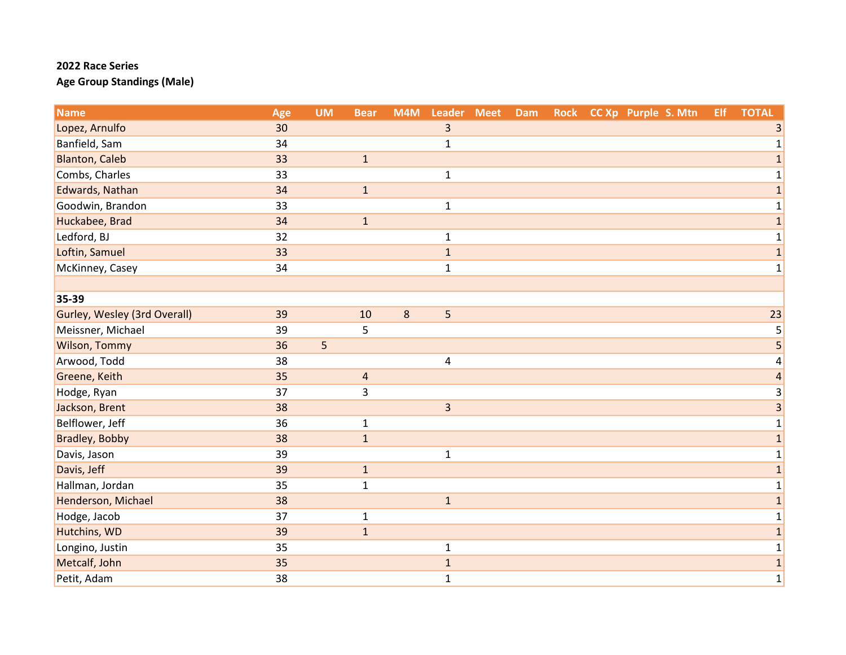| <b>Name</b>                  | Age | <b>UM</b> | <b>Bear</b>  | M4M     | Leader Meet             | Dam | <b>Rock</b> | CC Xp Purple S. Mtn | <b>Elf</b> | <b>TOTAL</b>   |
|------------------------------|-----|-----------|--------------|---------|-------------------------|-----|-------------|---------------------|------------|----------------|
| Lopez, Arnulfo               | 30  |           |              |         | 3                       |     |             |                     |            | 3              |
| Banfield, Sam                | 34  |           |              |         | $\mathbf{1}$            |     |             |                     |            | 1              |
| <b>Blanton, Caleb</b>        | 33  |           | $\mathbf{1}$ |         |                         |     |             |                     |            | $\mathbf{1}$   |
| Combs, Charles               | 33  |           |              |         | $\mathbf 1$             |     |             |                     |            | 1              |
| Edwards, Nathan              | 34  |           | $\mathbf{1}$ |         |                         |     |             |                     |            | 1              |
| Goodwin, Brandon             | 33  |           |              |         | $\mathbf 1$             |     |             |                     |            | $\mathbf{1}$   |
| Huckabee, Brad               | 34  |           | $\mathbf 1$  |         |                         |     |             |                     |            | $\mathbf 1$    |
| Ledford, BJ                  | 32  |           |              |         | $\mathbf{1}$            |     |             |                     |            | 1              |
| Loftin, Samuel               | 33  |           |              |         | $\mathbf{1}$            |     |             |                     |            | $\mathbf 1$    |
| McKinney, Casey              | 34  |           |              |         | $\mathbf 1$             |     |             |                     |            | 1              |
|                              |     |           |              |         |                         |     |             |                     |            |                |
| 35-39                        |     |           |              |         |                         |     |             |                     |            |                |
| Gurley, Wesley (3rd Overall) | 39  |           | 10           | $\bf 8$ | 5                       |     |             |                     |            | 23             |
| Meissner, Michael            | 39  |           | 5            |         |                         |     |             |                     |            | 5              |
| Wilson, Tommy                | 36  | 5         |              |         |                         |     |             |                     |            | 5              |
| Arwood, Todd                 | 38  |           |              |         | $\overline{\mathbf{4}}$ |     |             |                     |            | 4              |
| Greene, Keith                | 35  |           | 4            |         |                         |     |             |                     |            | $\overline{a}$ |
| Hodge, Ryan                  | 37  |           | 3            |         |                         |     |             |                     |            | 3              |
| Jackson, Brent               | 38  |           |              |         | $\overline{3}$          |     |             |                     |            | 3              |
| Belflower, Jeff              | 36  |           | $\mathbf{1}$ |         |                         |     |             |                     |            | 1              |
| Bradley, Bobby               | 38  |           | $\mathbf{1}$ |         |                         |     |             |                     |            | $\mathbf 1$    |
| Davis, Jason                 | 39  |           |              |         | $\mathbf 1$             |     |             |                     |            | 1              |
| Davis, Jeff                  | 39  |           | $\mathbf{1}$ |         |                         |     |             |                     |            | 1              |
| Hallman, Jordan              | 35  |           | $\mathbf{1}$ |         |                         |     |             |                     |            | 1              |
| Henderson, Michael           | 38  |           |              |         | $\mathbf 1$             |     |             |                     |            | $\mathbf{1}$   |
| Hodge, Jacob                 | 37  |           | $\mathbf{1}$ |         |                         |     |             |                     |            | 1              |
| Hutchins, WD                 | 39  |           | $\mathbf{1}$ |         |                         |     |             |                     |            | $\mathbf{1}$   |
| Longino, Justin              | 35  |           |              |         | $\mathbf{1}$            |     |             |                     |            | $\mathbf 1$    |
| Metcalf, John                | 35  |           |              |         | $\mathbf 1$             |     |             |                     |            | $\mathbf{1}$   |
| Petit, Adam                  | 38  |           |              |         | $\mathbf 1$             |     |             |                     |            | $\mathbf{1}$   |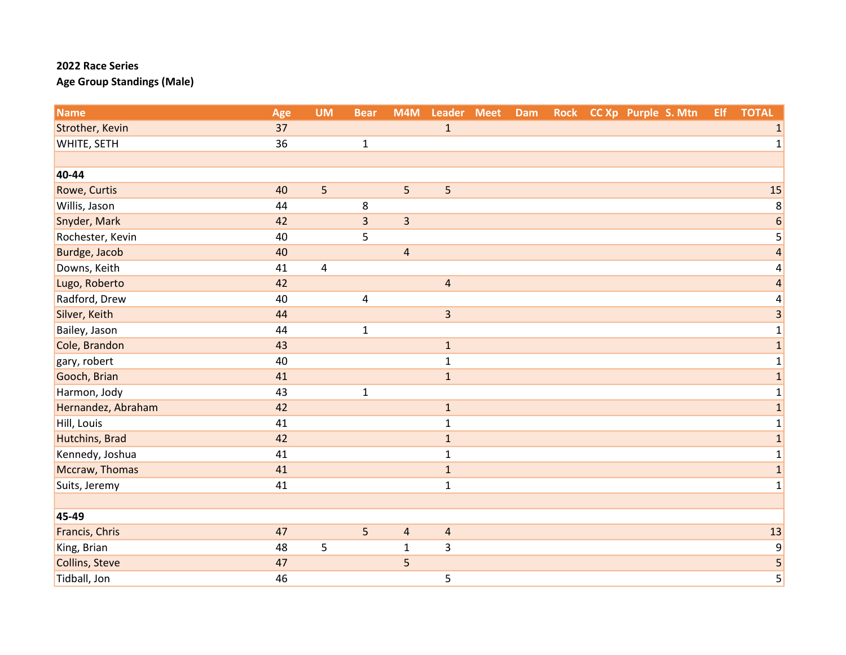| <b>Name</b>         | Age | <b>UM</b>      | <b>Bear</b>    | M4M                     | Leader Meet             | Dam | <b>Rock</b> | CC Xp Purple S. Mtn | Elf. | <b>TOTAL</b>            |
|---------------------|-----|----------------|----------------|-------------------------|-------------------------|-----|-------------|---------------------|------|-------------------------|
| Strother, Kevin     | 37  |                |                |                         | $\mathbf{1}$            |     |             |                     |      | 1                       |
| WHITE, SETH         | 36  |                | $\mathbf{1}$   |                         |                         |     |             |                     |      | $\mathbf{1}$            |
|                     |     |                |                |                         |                         |     |             |                     |      |                         |
| 40-44               |     |                |                |                         |                         |     |             |                     |      |                         |
| <b>Rowe, Curtis</b> | 40  | 5              |                | 5                       | 5                       |     |             |                     |      | 15                      |
| Willis, Jason       | 44  |                | 8              |                         |                         |     |             |                     |      | 8                       |
| Snyder, Mark        | 42  |                | $\overline{3}$ | $\overline{\mathbf{3}}$ |                         |     |             |                     |      | $\boldsymbol{6}$        |
| Rochester, Kevin    | 40  |                | 5              |                         |                         |     |             |                     |      | 5                       |
| Burdge, Jacob       | 40  |                |                | $\overline{\mathbf{4}}$ |                         |     |             |                     |      | $\overline{\mathbf{r}}$ |
| Downs, Keith        | 41  | $\overline{4}$ |                |                         |                         |     |             |                     |      | 4                       |
| Lugo, Roberto       | 42  |                |                |                         | $\overline{4}$          |     |             |                     |      | $\overline{\mathbf{4}}$ |
| Radford, Drew       | 40  |                | 4              |                         |                         |     |             |                     |      | 4                       |
| Silver, Keith       | 44  |                |                |                         | $\overline{\mathbf{3}}$ |     |             |                     |      | 3                       |
| Bailey, Jason       | 44  |                | $\mathbf{1}$   |                         |                         |     |             |                     |      | 1                       |
| Cole, Brandon       | 43  |                |                |                         | $1\,$                   |     |             |                     |      | $\mathbf 1$             |
| gary, robert        | 40  |                |                |                         | $\mathbf 1$             |     |             |                     |      | $\mathbf 1$             |
| Gooch, Brian        | 41  |                |                |                         | $\mathbf{1}$            |     |             |                     |      | $\mathbf{1}$            |
| Harmon, Jody        | 43  |                | $\mathbf{1}$   |                         |                         |     |             |                     |      | $\mathbf 1$             |
| Hernandez, Abraham  | 42  |                |                |                         | $\mathbf{1}$            |     |             |                     |      | $\mathbf 1$             |
| Hill, Louis         | 41  |                |                |                         | $\mathbf{1}$            |     |             |                     |      | $\mathbf 1$             |
| Hutchins, Brad      | 42  |                |                |                         | $\mathbf 1$             |     |             |                     |      | $\mathbf 1$             |
| Kennedy, Joshua     | 41  |                |                |                         | $\mathbf{1}$            |     |             |                     |      | $\mathbf 1$             |
| Mccraw, Thomas      | 41  |                |                |                         | $\mathbf{1}$            |     |             |                     |      | $\mathbf{1}$            |
| Suits, Jeremy       | 41  |                |                |                         | $\mathbf{1}$            |     |             |                     |      | $\mathbf 1$             |
|                     |     |                |                |                         |                         |     |             |                     |      |                         |
| 45-49               |     |                |                |                         |                         |     |             |                     |      |                         |
| Francis, Chris      | 47  |                | 5              | $\overline{\mathbf{4}}$ | $\overline{4}$          |     |             |                     |      | 13                      |
| King, Brian         | 48  | 5              |                | $\mathbf{1}$            | 3                       |     |             |                     |      | $\boldsymbol{9}$        |
| Collins, Steve      | 47  |                |                | 5                       |                         |     |             |                     |      | 5                       |
| Tidball, Jon        | 46  |                |                |                         | 5                       |     |             |                     |      | $\overline{5}$          |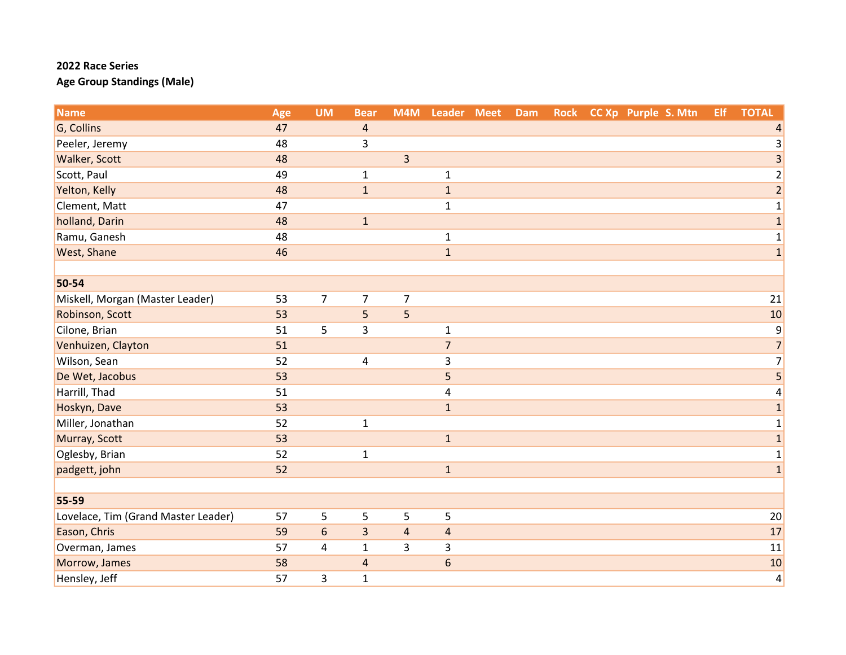| <b>Name</b>                         | Age | <b>UM</b>      | <b>Bear</b>             | M4M            | Leader Meet     | <b>Dam</b> | <b>Rock</b> | CC Xp Purple S. Mtn | Elf | <b>TOTAL</b>     |
|-------------------------------------|-----|----------------|-------------------------|----------------|-----------------|------------|-------------|---------------------|-----|------------------|
| G, Collins                          | 47  |                | $\overline{a}$          |                |                 |            |             |                     |     |                  |
| Peeler, Jeremy                      | 48  |                | 3                       |                |                 |            |             |                     |     | 3                |
| <b>Walker, Scott</b>                | 48  |                |                         | $\overline{3}$ |                 |            |             |                     |     | $\mathsf 3$      |
| Scott, Paul                         | 49  |                | $\mathbf{1}$            |                | $\mathbf{1}$    |            |             |                     |     | $\overline{c}$   |
| Yelton, Kelly                       | 48  |                | $\mathbf{1}$            |                | $\mathbf 1$     |            |             |                     |     | $\overline{c}$   |
| Clement, Matt                       | 47  |                |                         |                | $\mathbf{1}$    |            |             |                     |     | $\mathbf 1$      |
| holland, Darin                      | 48  |                | $\mathbf 1$             |                |                 |            |             |                     |     | $\mathbf{1}$     |
| Ramu, Ganesh                        | 48  |                |                         |                | $\mathbf{1}$    |            |             |                     |     | $\mathbf{1}$     |
| West, Shane                         | 46  |                |                         |                | $\mathbf{1}$    |            |             |                     |     | $\mathbf{1}$     |
|                                     |     |                |                         |                |                 |            |             |                     |     |                  |
| 50-54                               |     |                |                         |                |                 |            |             |                     |     |                  |
| Miskell, Morgan (Master Leader)     | 53  | $\overline{7}$ | $\overline{7}$          | $\overline{7}$ |                 |            |             |                     |     | 21               |
| Robinson, Scott                     | 53  |                | 5                       | 5              |                 |            |             |                     |     | 10               |
| Cilone, Brian                       | 51  | 5              | 3                       |                | $\mathbf{1}$    |            |             |                     |     | $\boldsymbol{9}$ |
| Venhuizen, Clayton                  | 51  |                |                         |                | $\overline{7}$  |            |             |                     |     | $\overline{7}$   |
| Wilson, Sean                        | 52  |                | 4                       |                | 3               |            |             |                     |     | $\overline{7}$   |
| De Wet, Jacobus                     | 53  |                |                         |                | 5               |            |             |                     |     | 5                |
| Harrill, Thad                       | 51  |                |                         |                | $\pmb{4}$       |            |             |                     |     | 4                |
| Hoskyn, Dave                        | 53  |                |                         |                | $\mathbf{1}$    |            |             |                     |     | $\mathbf{1}$     |
| Miller, Jonathan                    | 52  |                | $\mathbf{1}$            |                |                 |            |             |                     |     | $\mathbf{1}$     |
| Murray, Scott                       | 53  |                |                         |                | $\mathbf{1}$    |            |             |                     |     | $\mathbf 1$      |
| Oglesby, Brian                      | 52  |                | $\mathbf{1}$            |                |                 |            |             |                     |     | $\mathbf{1}$     |
| padgett, john                       | 52  |                |                         |                | $\mathbf{1}$    |            |             |                     |     | $\mathbf 1$      |
|                                     |     |                |                         |                |                 |            |             |                     |     |                  |
| 55-59                               |     |                |                         |                |                 |            |             |                     |     |                  |
| Lovelace, Tim (Grand Master Leader) | 57  | 5              | 5                       | 5              | 5               |            |             |                     |     | 20               |
| Eason, Chris                        | 59  | 6              | 3                       | $\overline{4}$ | $\overline{a}$  |            |             |                     |     | 17               |
| Overman, James                      | 57  | $\overline{4}$ | $\mathbf{1}$            | 3              | 3               |            |             |                     |     | 11               |
| Morrow, James                       | 58  |                | $\overline{\mathbf{r}}$ |                | $6\phantom{1}6$ |            |             |                     |     | 10               |
| Hensley, Jeff                       | 57  | 3              | $\mathbf{1}$            |                |                 |            |             |                     |     | $\overline{4}$   |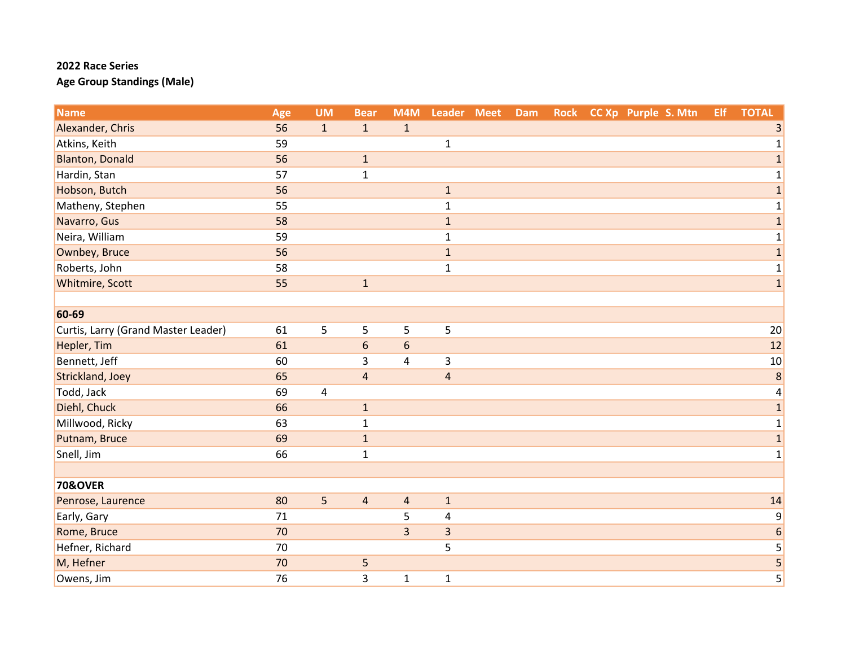| <b>Name</b>                         | Age | <b>UM</b>    | <b>Bear</b>             | M4M            | Leader Meet    | Dam | <b>Rock</b> | CC Xp Purple S. Mtn | Elf | <b>TOTAL</b>            |
|-------------------------------------|-----|--------------|-------------------------|----------------|----------------|-----|-------------|---------------------|-----|-------------------------|
| Alexander, Chris                    | 56  | $\mathbf{1}$ | $\mathbf{1}$            | $\mathbf{1}$   |                |     |             |                     |     | 3                       |
| Atkins, Keith                       | 59  |              |                         |                | $\mathbf{1}$   |     |             |                     |     | 1                       |
| <b>Blanton, Donald</b>              | 56  |              | $\mathbf{1}$            |                |                |     |             |                     |     | $\mathbf{1}$            |
| Hardin, Stan                        | 57  |              | $\mathbf{1}$            |                |                |     |             |                     |     | $\mathbf 1$             |
| Hobson, Butch                       | 56  |              |                         |                | $\mathbf 1$    |     |             |                     |     | $\mathbf{1}$            |
| Matheny, Stephen                    | 55  |              |                         |                | $\mathbf 1$    |     |             |                     |     | $\mathbf 1$             |
| Navarro, Gus                        | 58  |              |                         |                | $1\,$          |     |             |                     |     | $\mathbf 1$             |
| Neira, William                      | 59  |              |                         |                | $\mathbf{1}$   |     |             |                     |     | $\mathbf{1}$            |
| Ownbey, Bruce                       | 56  |              |                         |                | $\mathbf 1$    |     |             |                     |     | $\mathbf 1$             |
| Roberts, John                       | 58  |              |                         |                | $\mathbf{1}$   |     |             |                     |     | $\mathbf 1$             |
| Whitmire, Scott                     | 55  |              | $\mathbf{1}$            |                |                |     |             |                     |     | $\mathbf 1$             |
|                                     |     |              |                         |                |                |     |             |                     |     |                         |
| 60-69                               |     |              |                         |                |                |     |             |                     |     |                         |
| Curtis, Larry (Grand Master Leader) | 61  | 5            | 5                       | 5              | 5              |     |             |                     |     | 20                      |
| Hepler, Tim                         | 61  |              | 6                       | 6              |                |     |             |                     |     | 12                      |
| Bennett, Jeff                       | 60  |              | 3                       | 4              | 3              |     |             |                     |     | 10                      |
| Strickland, Joey                    | 65  |              | $\overline{\mathbf{4}}$ |                | $\overline{4}$ |     |             |                     |     | 8                       |
| Todd, Jack                          | 69  | 4            |                         |                |                |     |             |                     |     | $\pmb{4}$               |
| Diehl, Chuck                        | 66  |              | $\mathbf{1}$            |                |                |     |             |                     |     | $\mathbf 1$             |
| Millwood, Ricky                     | 63  |              | $\mathbf{1}$            |                |                |     |             |                     |     | $\mathbf{1}$            |
| Putnam, Bruce                       | 69  |              | $\mathbf 1$             |                |                |     |             |                     |     | $\mathbf 1$             |
| Snell, Jim                          | 66  |              | $\mathbf{1}$            |                |                |     |             |                     |     | $\mathbf{1}$            |
|                                     |     |              |                         |                |                |     |             |                     |     |                         |
| <b>70&amp;OVER</b>                  |     |              |                         |                |                |     |             |                     |     |                         |
| Penrose, Laurence                   | 80  | 5            | 4                       | $\overline{4}$ | $1\,$          |     |             |                     |     | 14                      |
| Early, Gary                         | 71  |              |                         | 5              | $\overline{4}$ |     |             |                     |     | $\boldsymbol{9}$        |
| Rome, Bruce                         | 70  |              |                         | $\overline{3}$ | 3              |     |             |                     |     | $\boldsymbol{6}$        |
| Hefner, Richard                     | 70  |              |                         |                | 5              |     |             |                     |     | 5                       |
| M, Hefner                           | 70  |              | 5                       |                |                |     |             |                     |     | $\overline{\mathbf{5}}$ |
| Owens, Jim                          | 76  |              | 3                       | $\mathbf{1}$   | $\mathbf 1$    |     |             |                     |     | 5                       |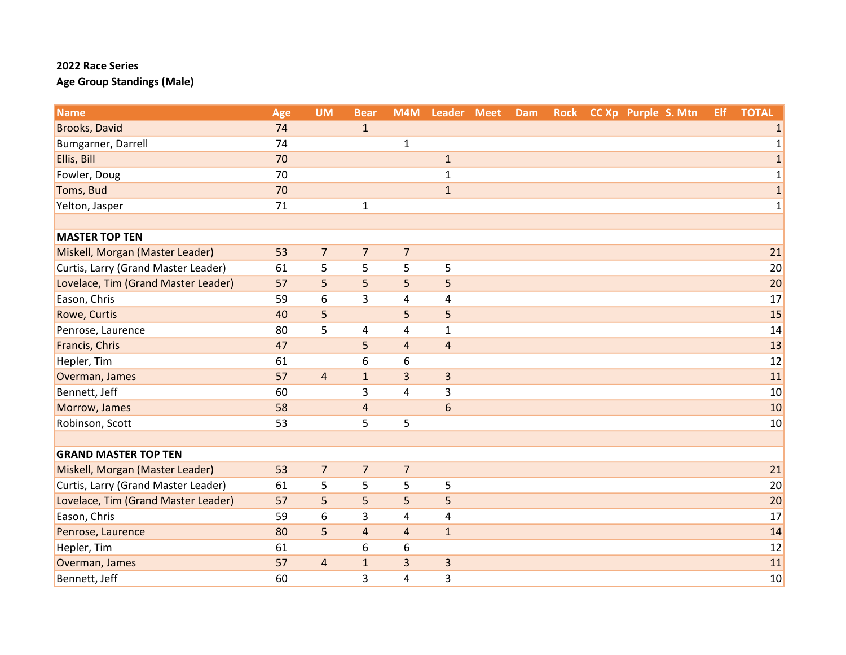| <b>Name</b>                         | Age | <b>UM</b>      | <b>Bear</b>             | M4M            | Leader Meet             | Dam | <b>Rock</b> | CC Xp Purple S. Mtn | <b>Elf</b> | <b>TOTAL</b> |
|-------------------------------------|-----|----------------|-------------------------|----------------|-------------------------|-----|-------------|---------------------|------------|--------------|
| Brooks, David                       | 74  |                | $\mathbf{1}$            |                |                         |     |             |                     |            | 1            |
| Bumgarner, Darrell                  | 74  |                |                         | $\mathbf{1}$   |                         |     |             |                     |            | $\mathbf{1}$ |
| Ellis, Bill                         | 70  |                |                         |                | $\mathbf 1$             |     |             |                     |            | $\mathbf{1}$ |
| Fowler, Doug                        | 70  |                |                         |                | $\mathbf{1}$            |     |             |                     |            | $\mathbf 1$  |
| Toms, Bud                           | 70  |                |                         |                | $\mathbf{1}$            |     |             |                     |            | $\mathbf 1$  |
| Yelton, Jasper                      | 71  |                | $\mathbf{1}$            |                |                         |     |             |                     |            | $\mathbf 1$  |
|                                     |     |                |                         |                |                         |     |             |                     |            |              |
| <b>MASTER TOP TEN</b>               |     |                |                         |                |                         |     |             |                     |            |              |
| Miskell, Morgan (Master Leader)     | 53  | $\overline{7}$ | $\overline{7}$          | $\overline{7}$ |                         |     |             |                     |            | 21           |
| Curtis, Larry (Grand Master Leader) | 61  | 5              | 5                       | 5              | 5                       |     |             |                     |            | 20           |
| Lovelace, Tim (Grand Master Leader) | 57  | 5              | 5                       | 5              | 5                       |     |             |                     |            | 20           |
| Eason, Chris                        | 59  | 6              | 3                       | 4              | $\overline{\mathbf{4}}$ |     |             |                     |            | 17           |
| Rowe, Curtis                        | 40  | 5              |                         | 5              | 5                       |     |             |                     |            | 15           |
| Penrose, Laurence                   | 80  | 5              | 4                       | 4              | $\mathbf{1}$            |     |             |                     |            | 14           |
| Francis, Chris                      | 47  |                | 5                       | $\overline{4}$ | $\sqrt{4}$              |     |             |                     |            | 13           |
| Hepler, Tim                         | 61  |                | 6                       | 6              |                         |     |             |                     |            | 12           |
| Overman, James                      | 57  | $\overline{4}$ | $\mathbf{1}$            | 3              | $\overline{3}$          |     |             |                     |            | 11           |
| Bennett, Jeff                       | 60  |                | 3                       | 4              | $\overline{\mathbf{3}}$ |     |             |                     |            | 10           |
| Morrow, James                       | 58  |                | $\overline{\mathbf{4}}$ |                | $6\,$                   |     |             |                     |            | 10           |
| Robinson, Scott                     | 53  |                | 5                       | 5              |                         |     |             |                     |            | 10           |
|                                     |     |                |                         |                |                         |     |             |                     |            |              |
| <b>GRAND MASTER TOP TEN</b>         |     |                |                         |                |                         |     |             |                     |            |              |
| Miskell, Morgan (Master Leader)     | 53  | $\overline{7}$ | $\overline{7}$          | $\overline{7}$ |                         |     |             |                     |            | 21           |
| Curtis, Larry (Grand Master Leader) | 61  | 5              | 5                       | 5              | 5                       |     |             |                     |            | 20           |
| Lovelace, Tim (Grand Master Leader) | 57  | 5              | 5                       | 5              | 5                       |     |             |                     |            | 20           |
| Eason, Chris                        | 59  | 6              | 3                       | 4              | 4                       |     |             |                     |            | 17           |
| Penrose, Laurence                   | 80  | 5              | $\overline{\mathbf{4}}$ | $\overline{4}$ | $\mathbf 1$             |     |             |                     |            | 14           |
| Hepler, Tim                         | 61  |                | 6                       | 6              |                         |     |             |                     |            | 12           |
| Overman, James                      | 57  | $\overline{4}$ | $\mathbf{1}$            | $\overline{3}$ | 3                       |     |             |                     |            | 11           |
| Bennett, Jeff                       | 60  |                | 3                       | 4              | 3                       |     |             |                     |            | 10           |